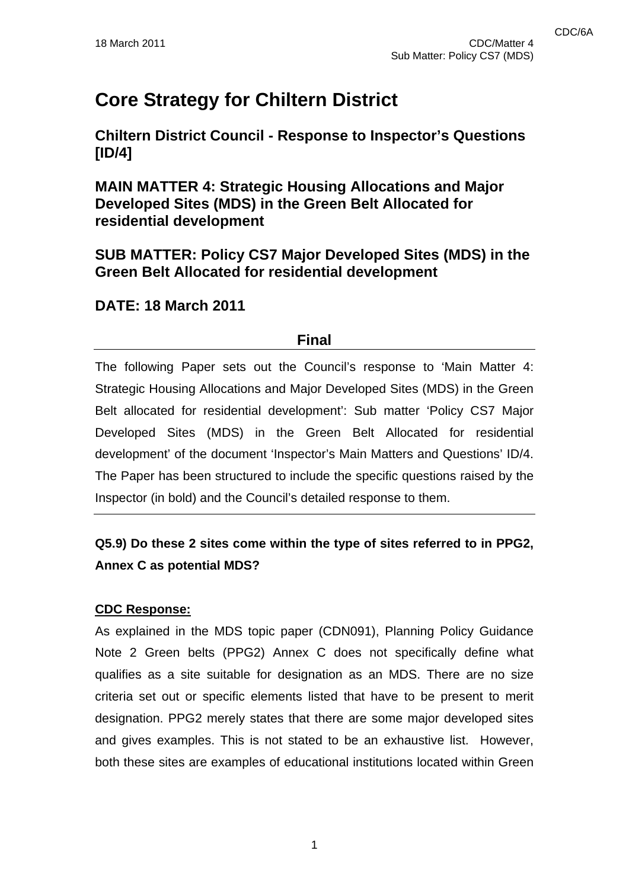# **Core Strategy for Chiltern District**

**Chiltern District Council - Response to Inspector's Questions [ID/4]** 

**MAIN MATTER 4: Strategic Housing Allocations and Major Developed Sites (MDS) in the Green Belt Allocated for residential development** 

**SUB MATTER: Policy CS7 Major Developed Sites (MDS) in the Green Belt Allocated for residential development** 

# **DATE: 18 March 2011**

## **Final**

The following Paper sets out the Council's response to 'Main Matter 4: Strategic Housing Allocations and Major Developed Sites (MDS) in the Green Belt allocated for residential development': Sub matter 'Policy CS7 Major Developed Sites (MDS) in the Green Belt Allocated for residential development' of the document 'Inspector's Main Matters and Questions' ID/4. The Paper has been structured to include the specific questions raised by the Inspector (in bold) and the Council's detailed response to them.

# **Q5.9) Do these 2 sites come within the type of sites referred to in PPG2, Annex C as potential MDS?**

### **CDC Response:**

As explained in the MDS topic paper (CDN091), Planning Policy Guidance Note 2 Green belts (PPG2) Annex C does not specifically define what qualifies as a site suitable for designation as an MDS. There are no size criteria set out or specific elements listed that have to be present to merit designation. PPG2 merely states that there are some major developed sites and gives examples. This is not stated to be an exhaustive list. However, both these sites are examples of educational institutions located within Green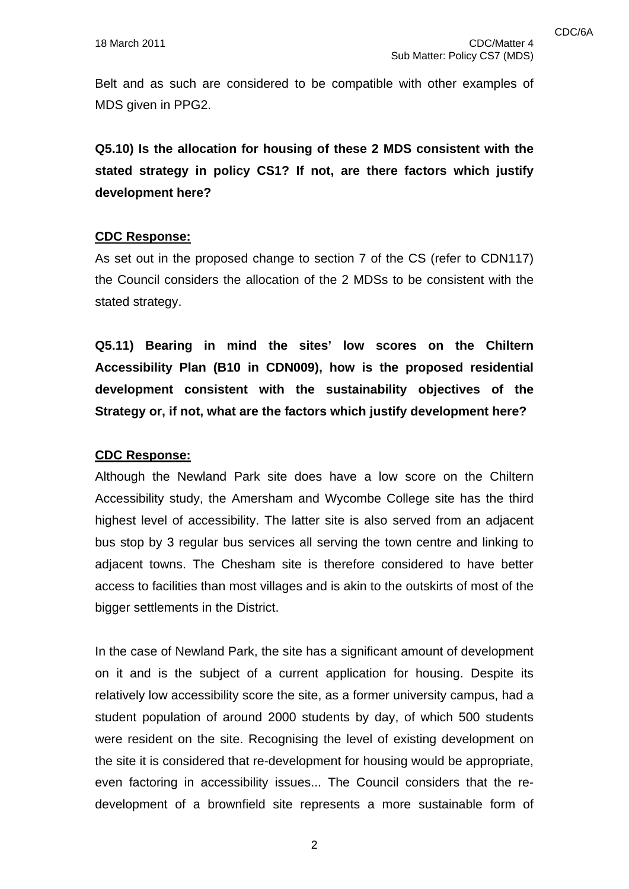Belt and as such are considered to be compatible with other examples of MDS given in PPG2.

**Q5.10) Is the allocation for housing of these 2 MDS consistent with the stated strategy in policy CS1? If not, are there factors which justify development here?** 

#### **CDC Response:**

As set out in the proposed change to section 7 of the CS (refer to CDN117) the Council considers the allocation of the 2 MDSs to be consistent with the stated strategy.

**Q5.11) Bearing in mind the sites' low scores on the Chiltern Accessibility Plan (B10 in CDN009), how is the proposed residential development consistent with the sustainability objectives of the Strategy or, if not, what are the factors which justify development here?** 

### **CDC Response:**

Although the Newland Park site does have a low score on the Chiltern Accessibility study, the Amersham and Wycombe College site has the third highest level of accessibility. The latter site is also served from an adjacent bus stop by 3 regular bus services all serving the town centre and linking to adjacent towns. The Chesham site is therefore considered to have better access to facilities than most villages and is akin to the outskirts of most of the bigger settlements in the District.

In the case of Newland Park, the site has a significant amount of development on it and is the subject of a current application for housing. Despite its relatively low accessibility score the site, as a former university campus, had a student population of around 2000 students by day, of which 500 students were resident on the site. Recognising the level of existing development on the site it is considered that re-development for housing would be appropriate, even factoring in accessibility issues... The Council considers that the redevelopment of a brownfield site represents a more sustainable form of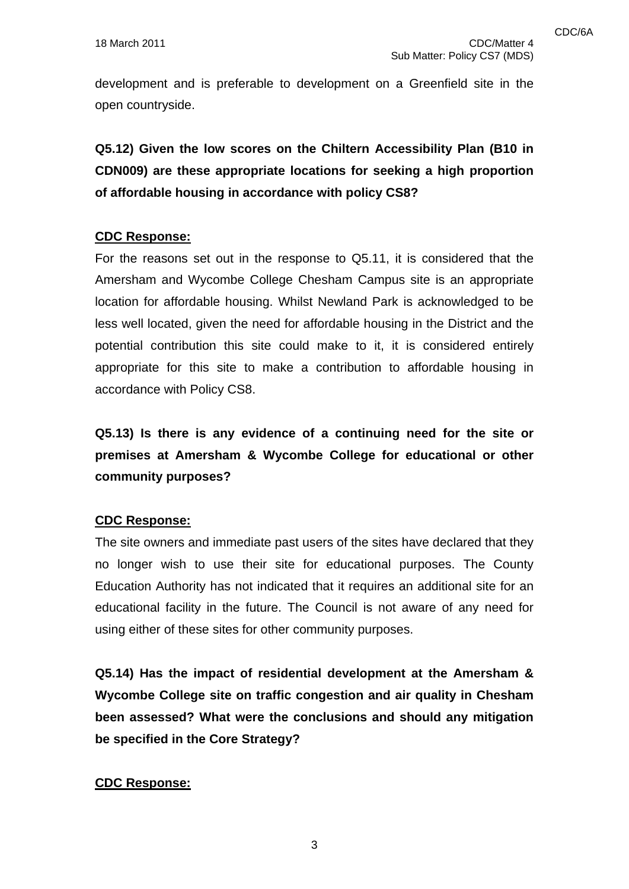development and is preferable to development on a Greenfield site in the open countryside.

**Q5.12) Given the low scores on the Chiltern Accessibility Plan (B10 in CDN009) are these appropriate locations for seeking a high proportion of affordable housing in accordance with policy CS8?** 

#### **CDC Response:**

For the reasons set out in the response to Q5.11, it is considered that the Amersham and Wycombe College Chesham Campus site is an appropriate location for affordable housing. Whilst Newland Park is acknowledged to be less well located, given the need for affordable housing in the District and the potential contribution this site could make to it, it is considered entirely appropriate for this site to make a contribution to affordable housing in accordance with Policy CS8.

**Q5.13) Is there is any evidence of a continuing need for the site or premises at Amersham & Wycombe College for educational or other community purposes?** 

#### **CDC Response:**

The site owners and immediate past users of the sites have declared that they no longer wish to use their site for educational purposes. The County Education Authority has not indicated that it requires an additional site for an educational facility in the future. The Council is not aware of any need for using either of these sites for other community purposes.

**Q5.14) Has the impact of residential development at the Amersham & Wycombe College site on traffic congestion and air quality in Chesham been assessed? What were the conclusions and should any mitigation be specified in the Core Strategy?** 

### **CDC Response:**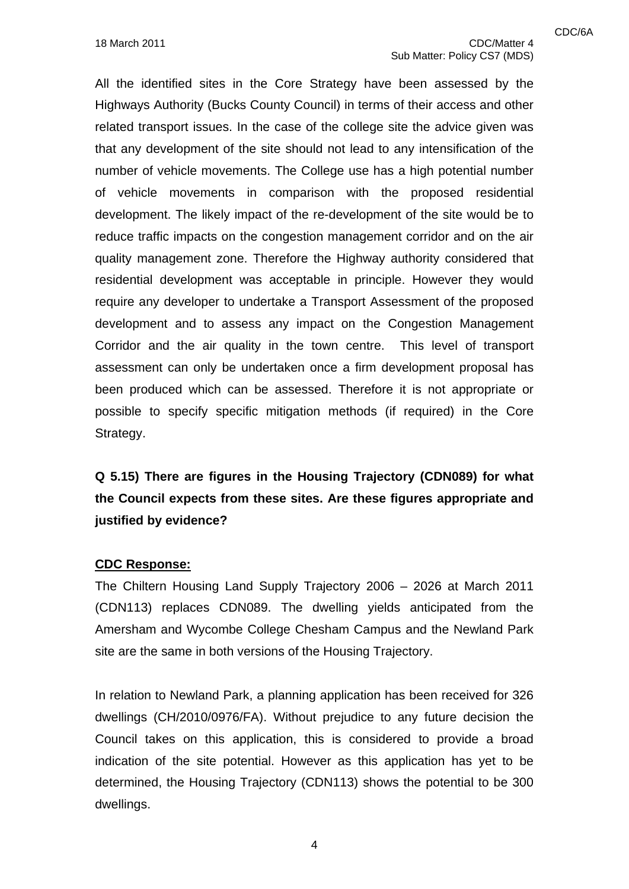All the identified sites in the Core Strategy have been assessed by the Highways Authority (Bucks County Council) in terms of their access and other related transport issues. In the case of the college site the advice given was that any development of the site should not lead to any intensification of the number of vehicle movements. The College use has a high potential number of vehicle movements in comparison with the proposed residential development. The likely impact of the re-development of the site would be to reduce traffic impacts on the congestion management corridor and on the air quality management zone. Therefore the Highway authority considered that residential development was acceptable in principle. However they would require any developer to undertake a Transport Assessment of the proposed development and to assess any impact on the Congestion Management Corridor and the air quality in the town centre. This level of transport assessment can only be undertaken once a firm development proposal has been produced which can be assessed. Therefore it is not appropriate or possible to specify specific mitigation methods (if required) in the Core Strategy.

# **Q 5.15) There are figures in the Housing Trajectory (CDN089) for what the Council expects from these sites. Are these figures appropriate and justified by evidence?**

#### **CDC Response:**

The Chiltern Housing Land Supply Trajectory 2006 – 2026 at March 2011 (CDN113) replaces CDN089. The dwelling yields anticipated from the Amersham and Wycombe College Chesham Campus and the Newland Park site are the same in both versions of the Housing Trajectory.

In relation to Newland Park, a planning application has been received for 326 dwellings (CH/2010/0976/FA). Without prejudice to any future decision the Council takes on this application, this is considered to provide a broad indication of the site potential. However as this application has yet to be determined, the Housing Trajectory (CDN113) shows the potential to be 300 dwellings.

4